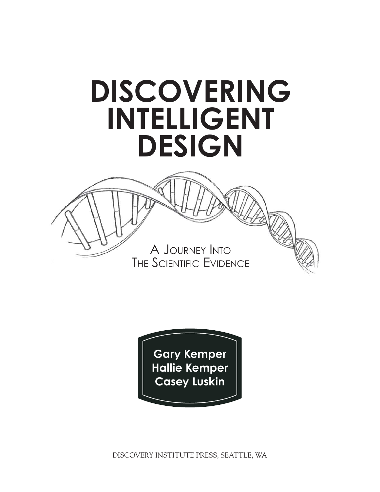

A JOURNEY INTO THE SCIENTIFIC EVIDENCE **RATION** 



DISCOVERY INSTITUTE PRESS, SEATTLE, WA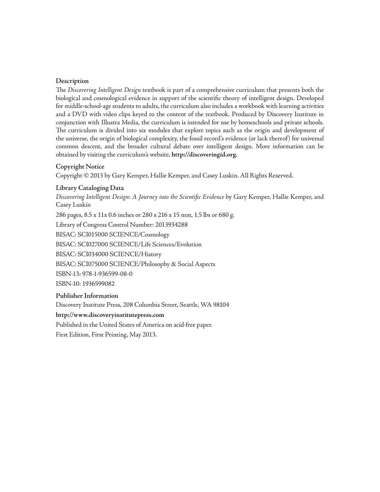**Description** The *Discovering Intelligent Design* textbook is part of a comprehensive curriculum that presents both the biological and cosmological evidence in support of the scientific theory of intelligent design. Developed for middle-school-age students to adults, the curriculum also includes a workbook with learning activities and a DVD with video clips keyed to the content of the textbook. Produced by Discovery Institute in conjunction with Illustra Media, the curriculum is intended for use by homeschools and private schools. The curriculum is divided into six modules that explore topics such as the origin and development of the universe, the origin of biological complexity, the fossil record's evidence (or lack thereof) for universal common descent, and the broader cultural debate over intelligent design. More information can be obtained by visiting the curriculum's website, **http://discoveringid.org**.

**Copyright Notice** Copyright © 2013 by Gary Kemper, Hallie Kemper, and Casey Luskin. All Rights Reserved.

**Library Cataloging Data** *Discovering Intelligent Design: A Journey into the Scientific Evidence* by Gary Kemper, Hallie Kemper, and Casey Luskin

286 pages, 8.5 x 11x 0.6 inches or 280 x 216 x 15 mm, 1.5 lbs or 680 g.

Library of Congress Control Number: 2013934288

BISAC: SCI015000 SCIENCE/Cosmology

BISAC: SCI027000 SCIENCE/Life Sciences/Evolution

BISAC: SCI034000 SCIENCE/History

BISAC: SCI075000 SCIENCE/Philosophy & Social Aspects

ISBN-13: 978-1-936599-08-0

ISBN-10: 1936599082

**Publisher Information**  Discovery Institute Press, 208 Columbia Street, Seattle, WA 98104

#### **http://www.discoveryinstitutepress.com**

Published in the United States of America on acid-free paper.

First Edition, First Printing, May 2013.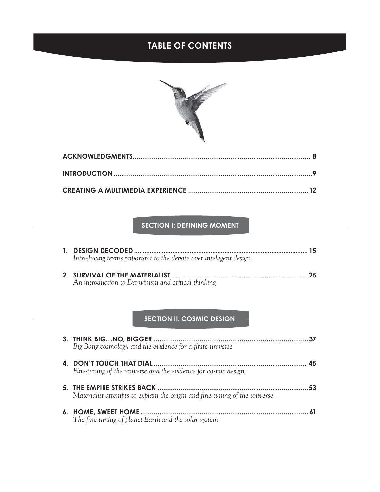# **TABLE OF CONTENTS**



## **SECTION I: DEFINING MOMENT**

| Introducing terms important to the debate over intelligent design |  |
|-------------------------------------------------------------------|--|
|                                                                   |  |
| An introduction to Darwinism and critical thinking                |  |

## **SECTION II: COSMIC DESIGN**

| Big Bang cosmology and the evidence for a finite universe                  |  |
|----------------------------------------------------------------------------|--|
| Fine-tuning of the universe and the evidence for cosmic design             |  |
| Materialist attempts to explain the origin and fine-tuning of the universe |  |
| The fine-tuning of planet Earth and the solar system                       |  |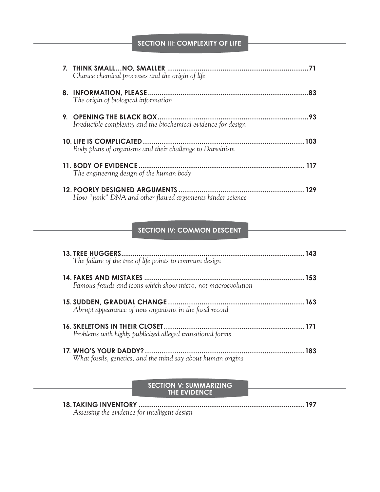### **SECTION III: COMPLEXITY OF LIFE**

| Chance chemical processes and the origin of life                                                   |
|----------------------------------------------------------------------------------------------------|
| 83<br>The origin of biological information                                                         |
| 9. OPENING THE BLACK BOX.<br>.93<br>Irreducible complexity and the biochemical evidence for design |
| .103<br>Body plans of organisms and their challenge to Darwinism                                   |
| <b>11. BODY OF EVIDENCE</b><br>The engineering design of the human body                            |
| How "junk" DNA and other flawed arguments hinder science                                           |

## **SECTION IV: COMMON DESCENT**

| The failure of the tree of life points to common design      |       |
|--------------------------------------------------------------|-------|
| Famous frauds and icons which show micro, not macroevolution | . 153 |
| Abrupt appearance of new organisms in the fossil record      |       |
| Problems with highly publicized alleged transitional forms   |       |
| What fossils, genetics, and the mind say about human origins | 183   |

#### **SECTION V: SUMMARIZING THE EVIDENCE**

| Assessing the evidence for intelligent design |  |
|-----------------------------------------------|--|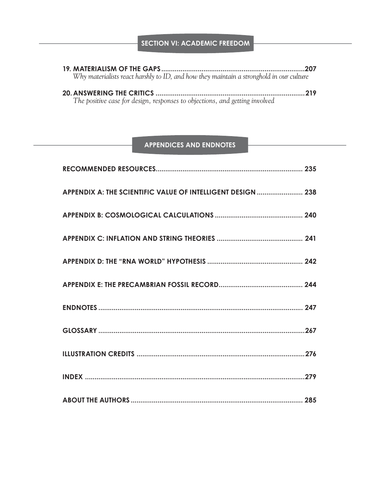### **SECTION VI: ACADEMIC FREEDOM**

| Why materialists react harshly to ID, and how they maintain a stronghold in our culture |  |
|-----------------------------------------------------------------------------------------|--|
|                                                                                         |  |
| The positive case for design, responses to objections, and getting involved             |  |

## **APPENDICES AND ENDNOTES**

| APPENDIX A: THE SCIENTIFIC VALUE OF INTELLIGENT DESIGN  238 |
|-------------------------------------------------------------|
|                                                             |
|                                                             |
|                                                             |
|                                                             |
|                                                             |
|                                                             |
|                                                             |
|                                                             |
|                                                             |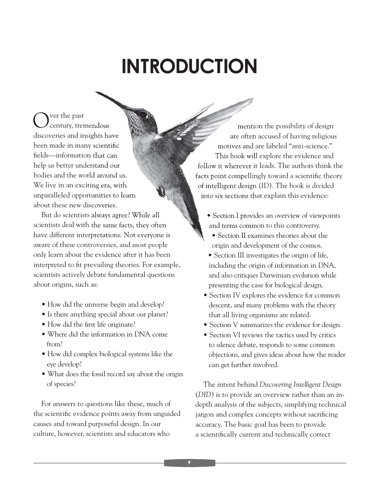# **INTRODUCTION**

Over the past<br>
Century, tremendous discoveries and insights have been made in many scientific fields—information that can help us better understand our bodies and the world around us. We live in an exciting era, with unparalleled opportunities to learn about these new discoveries.

But do scientists always agree? While all scientists deal with the same facts, they often have different interpretations. Not everyone is aware of these controversies, and most people only learn about the evidence after it has been interpreted to fit prevailing theories. For example, scientists actively debate fundamental questions about origins, such as:

- How did the universe begin and develop?
- Is there anything special about our planet?
- How did the first life originate?
- Where did the information in DNA come from?
- How did complex biological systems like the eye develop?
- What does the fossil record say about the origin of species?

For answers to questions like these, much of the scientific evidence points away from unguided causes and toward purposeful design. In our culture, however, scientists and educators who

mention the possibility of design are often accused of having religious motives and are labeled "anti-science." This book will explore the evidence and follow it wherever it leads. The authors think the facts point compellingly toward a scientific theory of intelligent design (ID). The book is divided into six sections that explain this evidence:

- Section I provides an overview of viewpoints and terms common to this controversy.
- Section II examines theories about the origin and development of the cosmos.
- Section III investigates the origin of life, including the origin of information in DNA, and also critiques Darwinian evolution while presenting the case for biological design.
- Section IV explores the evidence for common descent, and many problems with the theory that all living organisms are related.
- Section V summarizes the evidence for design.
- Section VI reviews the tactics used by critics to silence debate, responds to some common objections, and gives ideas about how the reader can get further involved.

The intent behind *Discovering Intelligent Design*  (*DID*) is to provide an overview rather than an indepth analysis of the subjects, simplifying technical jargon and complex concepts without sacrificing accuracy. The basic goal has been to provide a scientifically current and technically correct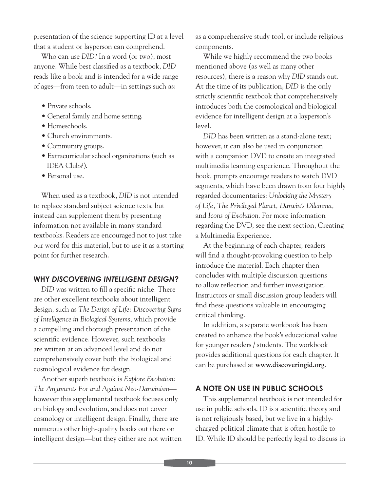presentation of the science supporting ID at a level that a student or layperson can comprehend.

Who can use *DID*? In a word (or two), most anyone. While best classified as a textbook, *DID* reads like a book and is intended for a wide range of ages—from teen to adult—in settings such as:

- Private schools.
- General family and home setting.
- Homeschools.
- Church environments.
- Community groups.
- Extracurricular school organizations (such as IDEA Clubs<sup>1</sup>).
- Personal use.

When used as a textbook, *DID* is not intended to replace standard subject science texts, but instead can supplement them by presenting information not available in many standard textbooks. Readers are encouraged not to just take our word for this material, but to use it as a starting point for further research.

#### **WHY** *DISCOVERING INTELLIGENT DESIGN***?**

*DID* was written to fill a specific niche. There are other excellent textbooks about intelligent design, such as *The Design of Life: Discovering Signs of Intelligence in Biological Systems*, which provide a compelling and thorough presentation of the scientific evidence. However, such textbooks are written at an advanced level and do not comprehensively cover both the biological and cosmological evidence for design.

Another superb textbook is *Explore Evolution: The Arguments For and Against Neo-Darwinism* however this supplemental textbook focuses only on biology and evolution, and does not cover cosmology or intelligent design. Finally, there are numerous other high-quality books out there on intelligent design—but they either are not written as a comprehensive study tool, or include religious components.

While we highly recommend the two books mentioned above (as well as many other resources), there is a reason why *DID* stands out. At the time of its publication, *DID* is the only strictly scientific textbook that comprehensively introduces both the cosmological and biological evidence for intelligent design at a layperson's level.

*DID* has been written as a stand-alone text; however, it can also be used in conjunction with a companion DVD to create an integrated multimedia learning experience. Throughout the book, prompts encourage readers to watch DVD segments, which have been drawn from four highly regarded documentaries: *Unlocking the Mystery of Life, The Privileged Planet, Darwin's Dilemma,* and *Icons of Evolution*. For more information regarding the DVD, see the next section, Creating a Multimedia Experience.

At the beginning of each chapter, readers will find a thought-provoking question to help introduce the material. Each chapter then concludes with multiple discussion questions to allow reflection and further investigation. Instructors or small discussion group leaders will find these questions valuable in encouraging critical thinking.

In addition, a separate workbook has been created to enhance the book's educational value for younger readers / students. The workbook provides additional questions for each chapter. It can be purchased at **www.discoveringid.org**.

### **A NOTE ON USE IN PUBLIC SCHOOLS**

This supplemental textbook is not intended for use in public schools. ID is a scientific theory and is not religiously based, but we live in a highlycharged political climate that is often hostile to ID. While ID should be perfectly legal to discuss in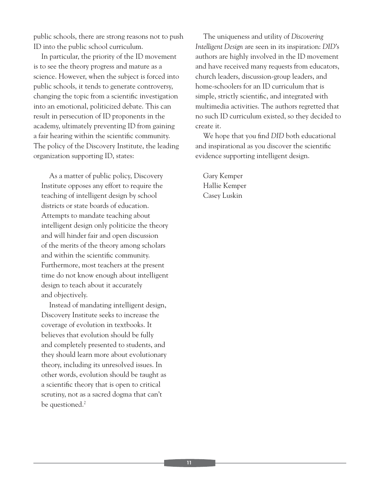public schools, there are strong reasons not to push ID into the public school curriculum.

In particular, the priority of the ID movement is to see the theory progress and mature as a science. However, when the subject is forced into public schools, it tends to generate controversy, changing the topic from a scientific investigation into an emotional, politicized debate. This can result in persecution of ID proponents in the academy, ultimately preventing ID from gaining a fair hearing within the scientific community. The policy of the Discovery Institute, the leading organization supporting ID, states:

As a matter of public policy, Discovery Institute opposes any effort to require the teaching of intelligent design by school districts or state boards of education. Attempts to mandate teaching about intelligent design only politicize the theory and will hinder fair and open discussion of the merits of the theory among scholars and within the scientific community. Furthermore, most teachers at the present time do not know enough about intelligent design to teach about it accurately and objectively.

Instead of mandating intelligent design, Discovery Institute seeks to increase the coverage of evolution in textbooks. It believes that evolution should be fully and completely presented to students, and they should learn more about evolutionary theory, including its unresolved issues. In other words, evolution should be taught as a scientific theory that is open to critical scrutiny, not as a sacred dogma that can't be questioned.<sup>2</sup>

The uniqueness and utility of *Discovering Intelligent Design* are seen in its inspiration: *DID*'s authors are highly involved in the ID movement and have received many requests from educators, church leaders, discussion-group leaders, and home-schoolers for an ID curriculum that is simple, strictly scientific, and integrated with multimedia activities. The authors regretted that no such ID curriculum existed, so they decided to create it.

We hope that you find *DID* both educational and inspirational as you discover the scientific evidence supporting intelligent design.

Gary Kemper Hallie Kemper Casey Luskin